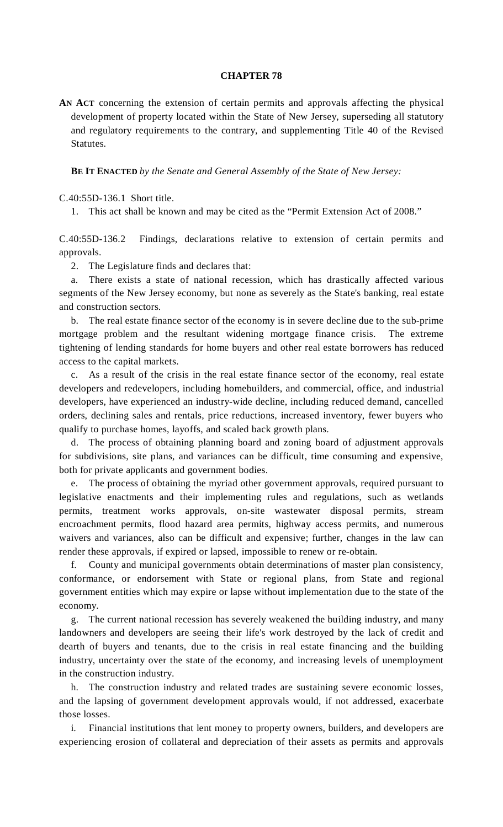## **CHAPTER 78**

**AN ACT** concerning the extension of certain permits and approvals affecting the physical development of property located within the State of New Jersey, superseding all statutory and regulatory requirements to the contrary, and supplementing Title 40 of the Revised Statutes.

**BE IT ENACTED** *by the Senate and General Assembly of the State of New Jersey:*

C.40:55D-136.1 Short title.

1. This act shall be known and may be cited as the "Permit Extension Act of 2008."

C.40:55D-136.2 Findings, declarations relative to extension of certain permits and approvals.

2. The Legislature finds and declares that:

 a. There exists a state of national recession, which has drastically affected various segments of the New Jersey economy, but none as severely as the State's banking, real estate and construction sectors.

 b. The real estate finance sector of the economy is in severe decline due to the sub-prime mortgage problem and the resultant widening mortgage finance crisis. The extreme tightening of lending standards for home buyers and other real estate borrowers has reduced access to the capital markets.

 c. As a result of the crisis in the real estate finance sector of the economy, real estate developers and redevelopers, including homebuilders, and commercial, office, and industrial developers, have experienced an industry-wide decline, including reduced demand, cancelled orders, declining sales and rentals, price reductions, increased inventory, fewer buyers who qualify to purchase homes, layoffs, and scaled back growth plans.

 d. The process of obtaining planning board and zoning board of adjustment approvals for subdivisions, site plans, and variances can be difficult, time consuming and expensive, both for private applicants and government bodies.

The process of obtaining the myriad other government approvals, required pursuant to legislative enactments and their implementing rules and regulations, such as wetlands permits, treatment works approvals, on-site wastewater disposal permits, stream encroachment permits, flood hazard area permits, highway access permits, and numerous waivers and variances, also can be difficult and expensive; further, changes in the law can render these approvals, if expired or lapsed, impossible to renew or re-obtain.

 f. County and municipal governments obtain determinations of master plan consistency, conformance, or endorsement with State or regional plans, from State and regional government entities which may expire or lapse without implementation due to the state of the economy.

 g. The current national recession has severely weakened the building industry, and many landowners and developers are seeing their life's work destroyed by the lack of credit and dearth of buyers and tenants, due to the crisis in real estate financing and the building industry, uncertainty over the state of the economy, and increasing levels of unemployment in the construction industry.

 h. The construction industry and related trades are sustaining severe economic losses, and the lapsing of government development approvals would, if not addressed, exacerbate those losses.

 i. Financial institutions that lent money to property owners, builders, and developers are experiencing erosion of collateral and depreciation of their assets as permits and approvals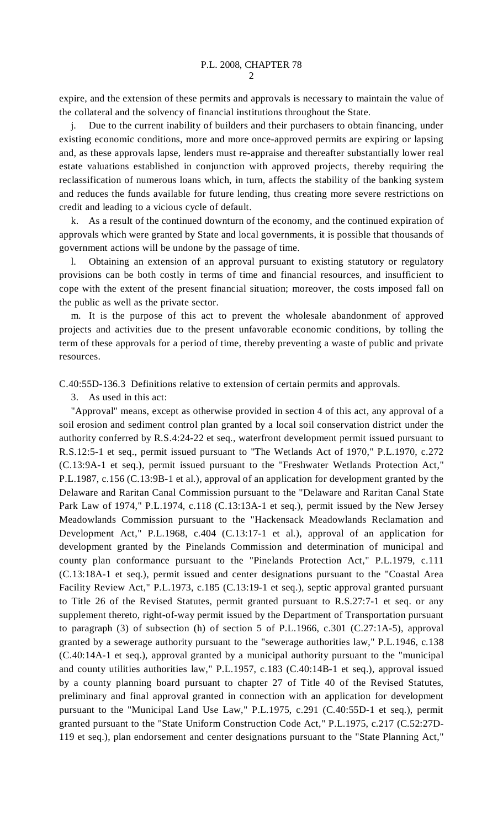expire, and the extension of these permits and approvals is necessary to maintain the value of the collateral and the solvency of financial institutions throughout the State.

 j. Due to the current inability of builders and their purchasers to obtain financing, under existing economic conditions, more and more once-approved permits are expiring or lapsing and, as these approvals lapse, lenders must re-appraise and thereafter substantially lower real estate valuations established in conjunction with approved projects, thereby requiring the reclassification of numerous loans which, in turn, affects the stability of the banking system and reduces the funds available for future lending, thus creating more severe restrictions on credit and leading to a vicious cycle of default.

 k. As a result of the continued downturn of the economy, and the continued expiration of approvals which were granted by State and local governments, it is possible that thousands of government actions will be undone by the passage of time.

 l. Obtaining an extension of an approval pursuant to existing statutory or regulatory provisions can be both costly in terms of time and financial resources, and insufficient to cope with the extent of the present financial situation; moreover, the costs imposed fall on the public as well as the private sector.

 m. It is the purpose of this act to prevent the wholesale abandonment of approved projects and activities due to the present unfavorable economic conditions, by tolling the term of these approvals for a period of time, thereby preventing a waste of public and private resources.

C.40:55D-136.3 Definitions relative to extension of certain permits and approvals.

3. As used in this act:

 "Approval" means, except as otherwise provided in section 4 of this act, any approval of a soil erosion and sediment control plan granted by a local soil conservation district under the authority conferred by R.S.4:24-22 et seq., waterfront development permit issued pursuant to R.S.12:5-1 et seq., permit issued pursuant to "The Wetlands Act of 1970," P.L.1970, c.272 (C.13:9A-1 et seq.), permit issued pursuant to the "Freshwater Wetlands Protection Act," P.L.1987, c.156 (C.13:9B-1 et al.), approval of an application for development granted by the Delaware and Raritan Canal Commission pursuant to the "Delaware and Raritan Canal State Park Law of 1974," P.L.1974, c.118 (C.13:13A-1 et seq.), permit issued by the New Jersey Meadowlands Commission pursuant to the "Hackensack Meadowlands Reclamation and Development Act," P.L.1968, c.404 (C.13:17-1 et al.), approval of an application for development granted by the Pinelands Commission and determination of municipal and county plan conformance pursuant to the "Pinelands Protection Act," P.L.1979, c.111 (C.13:18A-1 et seq.), permit issued and center designations pursuant to the "Coastal Area Facility Review Act," P.L.1973, c.185 (C.13:19-1 et seq.), septic approval granted pursuant to Title 26 of the Revised Statutes, permit granted pursuant to R.S.27:7-1 et seq. or any supplement thereto, right-of-way permit issued by the Department of Transportation pursuant to paragraph (3) of subsection (h) of section 5 of P.L.1966, c.301 (C.27:1A-5), approval granted by a sewerage authority pursuant to the "sewerage authorities law," P.L.1946, c.138 (C.40:14A-1 et seq.), approval granted by a municipal authority pursuant to the "municipal and county utilities authorities law," P.L.1957, c.183 (C.40:14B-1 et seq.), approval issued by a county planning board pursuant to chapter 27 of Title 40 of the Revised Statutes, preliminary and final approval granted in connection with an application for development pursuant to the "Municipal Land Use Law," P.L.1975, c.291 (C.40:55D-1 et seq.), permit granted pursuant to the "State Uniform Construction Code Act," P.L.1975, c.217 (C.52:27D-119 et seq.), plan endorsement and center designations pursuant to the "State Planning Act,"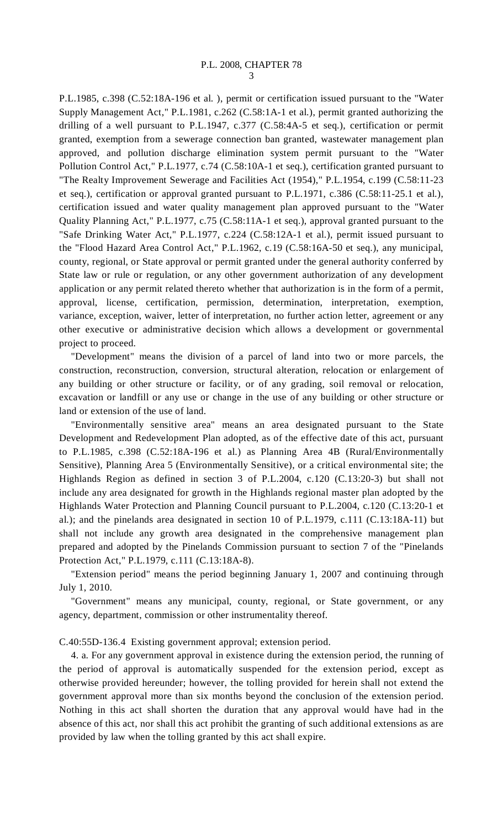P.L.1985, c.398 (C.52:18A-196 et al. ), permit or certification issued pursuant to the "Water Supply Management Act," P.L.1981, c.262 (C.58:1A-1 et al.), permit granted authorizing the drilling of a well pursuant to P.L.1947, c.377 (C.58:4A-5 et seq.), certification or permit granted, exemption from a sewerage connection ban granted, wastewater management plan approved, and pollution discharge elimination system permit pursuant to the "Water Pollution Control Act," P.L.1977, c.74 (C.58:10A-1 et seq.), certification granted pursuant to "The Realty Improvement Sewerage and Facilities Act (1954)," P.L.1954, c.199 (C.58:11-23 et seq.), certification or approval granted pursuant to P.L.1971, c.386 (C.58:11-25.1 et al.), certification issued and water quality management plan approved pursuant to the "Water Quality Planning Act," P.L.1977, c.75 (C.58:11A-1 et seq.), approval granted pursuant to the "Safe Drinking Water Act," P.L.1977, c.224 (C.58:12A-1 et al.), permit issued pursuant to the "Flood Hazard Area Control Act," P.L.1962, c.19 (C.58:16A-50 et seq.), any municipal, county, regional, or State approval or permit granted under the general authority conferred by State law or rule or regulation, or any other government authorization of any development application or any permit related thereto whether that authorization is in the form of a permit, approval, license, certification, permission, determination, interpretation, exemption, variance, exception, waiver, letter of interpretation, no further action letter, agreement or any other executive or administrative decision which allows a development or governmental project to proceed.

 "Development" means the division of a parcel of land into two or more parcels, the construction, reconstruction, conversion, structural alteration, relocation or enlargement of any building or other structure or facility, or of any grading, soil removal or relocation, excavation or landfill or any use or change in the use of any building or other structure or land or extension of the use of land.

 "Environmentally sensitive area" means an area designated pursuant to the State Development and Redevelopment Plan adopted, as of the effective date of this act, pursuant to P.L.1985, c.398 (C.52:18A-196 et al.) as Planning Area 4B (Rural/Environmentally Sensitive), Planning Area 5 (Environmentally Sensitive), or a critical environmental site; the Highlands Region as defined in section 3 of P.L.2004, c.120 (C.13:20-3) but shall not include any area designated for growth in the Highlands regional master plan adopted by the Highlands Water Protection and Planning Council pursuant to P.L.2004, c.120 (C.13:20-1 et al.); and the pinelands area designated in section 10 of P.L.1979, c.111 (C.13:18A-11) but shall not include any growth area designated in the comprehensive management plan prepared and adopted by the Pinelands Commission pursuant to section 7 of the "Pinelands Protection Act," P.L.1979, c.111 (C.13:18A-8).

 "Extension period" means the period beginning January 1, 2007 and continuing through July 1, 2010.

 "Government" means any municipal, county, regional, or State government, or any agency, department, commission or other instrumentality thereof.

C.40:55D-136.4 Existing government approval; extension period.

 4. a. For any government approval in existence during the extension period, the running of the period of approval is automatically suspended for the extension period, except as otherwise provided hereunder; however, the tolling provided for herein shall not extend the government approval more than six months beyond the conclusion of the extension period. Nothing in this act shall shorten the duration that any approval would have had in the absence of this act, nor shall this act prohibit the granting of such additional extensions as are provided by law when the tolling granted by this act shall expire.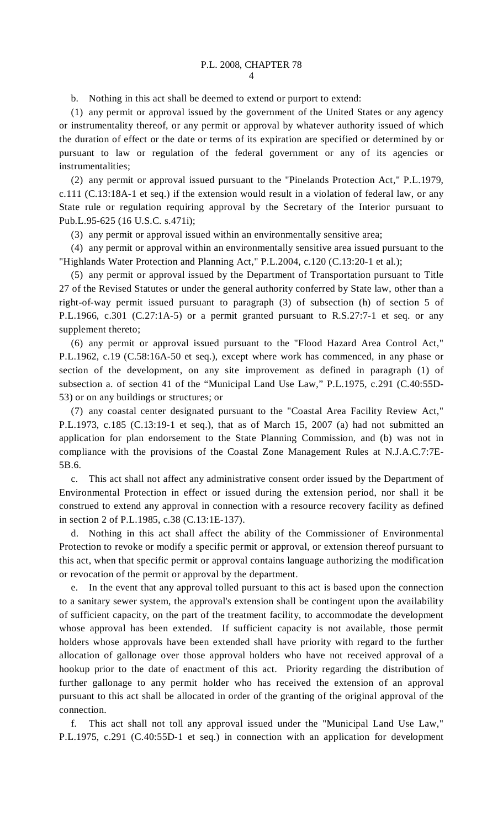b. Nothing in this act shall be deemed to extend or purport to extend:

 (1) any permit or approval issued by the government of the United States or any agency or instrumentality thereof, or any permit or approval by whatever authority issued of which the duration of effect or the date or terms of its expiration are specified or determined by or pursuant to law or regulation of the federal government or any of its agencies or instrumentalities;

 (2) any permit or approval issued pursuant to the "Pinelands Protection Act," P.L.1979, c.111 (C.13:18A-1 et seq.) if the extension would result in a violation of federal law, or any State rule or regulation requiring approval by the Secretary of the Interior pursuant to Pub.L.95-625 (16 U.S.C. s.471i);

(3) any permit or approval issued within an environmentally sensitive area;

 (4) any permit or approval within an environmentally sensitive area issued pursuant to the "Highlands Water Protection and Planning Act," P.L.2004, c.120 (C.13:20-1 et al.);

 (5) any permit or approval issued by the Department of Transportation pursuant to Title 27 of the Revised Statutes or under the general authority conferred by State law, other than a right-of-way permit issued pursuant to paragraph (3) of subsection (h) of section 5 of P.L.1966, c.301 (C.27:1A-5) or a permit granted pursuant to R.S.27:7-1 et seq. or any supplement thereto;

 (6) any permit or approval issued pursuant to the "Flood Hazard Area Control Act," P.L.1962, c.19 (C.58:16A-50 et seq.), except where work has commenced, in any phase or section of the development, on any site improvement as defined in paragraph (1) of subsection a. of section 41 of the "Municipal Land Use Law," P.L.1975, c.291 (C.40:55D-53) or on any buildings or structures; or

 (7) any coastal center designated pursuant to the "Coastal Area Facility Review Act," P.L.1973, c.185 (C.13:19-1 et seq.), that as of March 15, 2007 (a) had not submitted an application for plan endorsement to the State Planning Commission, and (b) was not in compliance with the provisions of the Coastal Zone Management Rules at N.J.A.C.7:7E-5B.6.

 c. This act shall not affect any administrative consent order issued by the Department of Environmental Protection in effect or issued during the extension period, nor shall it be construed to extend any approval in connection with a resource recovery facility as defined in section 2 of P.L.1985, c.38 (C.13:1E-137).

 d. Nothing in this act shall affect the ability of the Commissioner of Environmental Protection to revoke or modify a specific permit or approval, or extension thereof pursuant to this act, when that specific permit or approval contains language authorizing the modification or revocation of the permit or approval by the department.

 e. In the event that any approval tolled pursuant to this act is based upon the connection to a sanitary sewer system, the approval's extension shall be contingent upon the availability of sufficient capacity, on the part of the treatment facility, to accommodate the development whose approval has been extended. If sufficient capacity is not available, those permit holders whose approvals have been extended shall have priority with regard to the further allocation of gallonage over those approval holders who have not received approval of a hookup prior to the date of enactment of this act. Priority regarding the distribution of further gallonage to any permit holder who has received the extension of an approval pursuant to this act shall be allocated in order of the granting of the original approval of the connection.

 f. This act shall not toll any approval issued under the "Municipal Land Use Law," P.L.1975, c.291 (C.40:55D-1 et seq.) in connection with an application for development